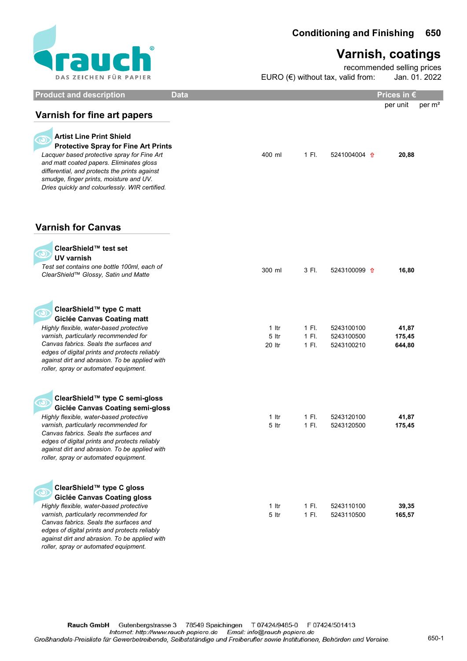

## Varnish, coatings

EURO  $(\epsilon)$  without tax, valid from: recommended selling prices Jan. 01. 2022

| <b>Product and description</b>                                                                                                                                                                                                                                                                                                                     | <b>Data</b>                                                                                   | Prices in $\epsilon$      |          |  |
|----------------------------------------------------------------------------------------------------------------------------------------------------------------------------------------------------------------------------------------------------------------------------------------------------------------------------------------------------|-----------------------------------------------------------------------------------------------|---------------------------|----------|--|
| Varnish for fine art papers                                                                                                                                                                                                                                                                                                                        |                                                                                               | per unit                  | per $m2$ |  |
| <b>Artist Line Print Shield</b><br><b>Protective Spray for Fine Art Prints</b><br>Lacquer based protective spray for Fine Art<br>and matt coated papers. Eliminates gloss<br>differential, and protects the prints against<br>smudge, finger prints, moisture and UV.<br>Dries quickly and colourlessly. WIR certified.                            | 400 ml<br>1 Fl.<br>5241004004 <b>f</b>                                                        | 20,88                     |          |  |
| <b>Varnish for Canvas</b>                                                                                                                                                                                                                                                                                                                          |                                                                                               |                           |          |  |
| ClearShield™ test set<br><b>UV varnish</b><br>Test set contains one bottle 100ml, each of<br>ClearShield™ Glossy, Satin und Matte                                                                                                                                                                                                                  | 300 ml<br>3 Fl.<br>5243100099 1                                                               | 16,80                     |          |  |
| ClearShield™ type C matt<br><b>Giclée Canvas Coating matt</b><br>Highly flexible, water-based protective<br>varnish, particularly recommended for<br>Canvas fabrics. Seals the surfaces and<br>edges of digital prints and protects reliably<br>against dirt and abrasion. To be applied with<br>roller, spray or automated equipment.             | 1 Itr<br>1 Fl.<br>5243100100<br>5 Itr<br>1 FI.<br>5243100500<br>1 Fl.<br>20 Itr<br>5243100210 | 41,87<br>175,45<br>644,80 |          |  |
| ClearShield™ type C semi-gloss<br><b>Giclée Canvas Coating semi-gloss</b><br>Highly flexible, water-based protective<br>varnish, particularly recommended for<br>Canvas fabrics. Seals the surfaces and<br>edges of digital prints and protects reliably<br>against dirt and abrasion. To be applied with<br>roller, spray or automated equipment. | 1 Itr<br>1 Fl.<br>5243120100<br>5 Itr<br>1 Fl.<br>5243120500                                  | 41,87<br>175,45           |          |  |
| ClearShield™ type C gloss<br><b>Giclée Canvas Coating gloss</b><br>Highly flexible, water-based protective<br>varnish, particularly recommended for<br>Canvas fabrics. Seals the surfaces and<br>edges of digital prints and protects reliably<br>against dirt and abrasion. To be applied with<br>roller, spray or automated equipment.           | $1$ Itr<br>1 Fl.<br>5243110100<br>1 Fl.<br>5 ltr<br>5243110500                                | 39,35<br>165,57           |          |  |